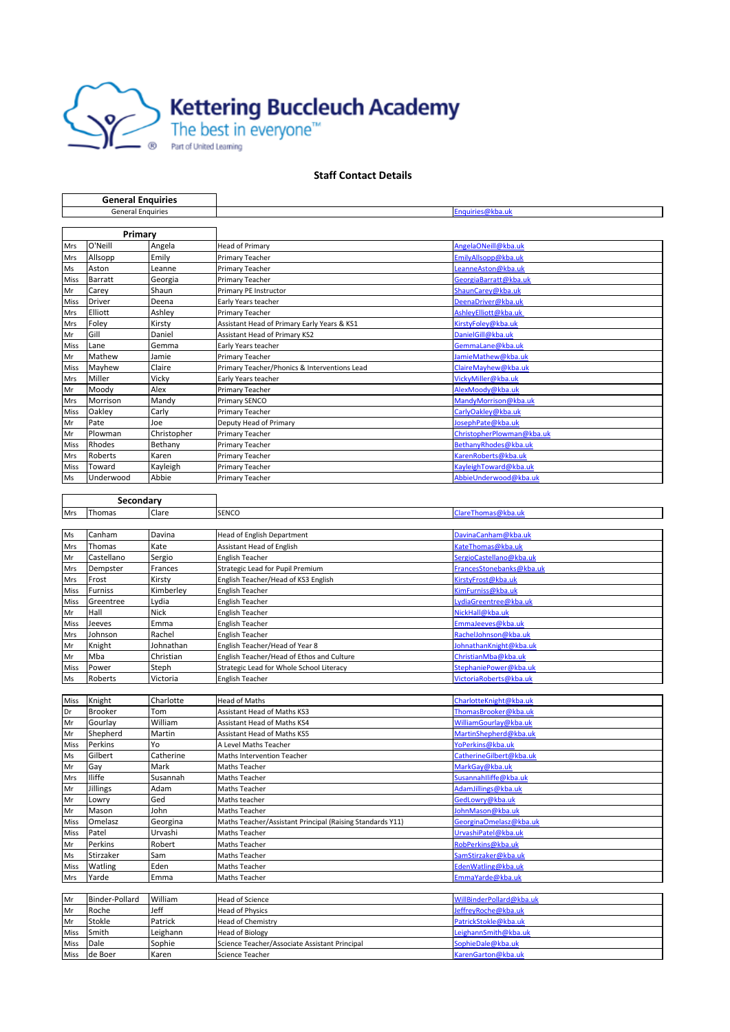

## **Staff Contact Details**

| <b>General Enquiries</b> |                      |                    |                                                                         |                                                |
|--------------------------|----------------------|--------------------|-------------------------------------------------------------------------|------------------------------------------------|
| <b>General Enquiries</b> |                      |                    |                                                                         | Enquiries@kba.uk                               |
|                          |                      |                    |                                                                         |                                                |
|                          | Primary              |                    |                                                                         |                                                |
| Mrs                      | O'Neill              | Angela             | Head of Primary                                                         | AngelaONeill@kba.uk                            |
| Mrs                      | Allsopp              | Emily              | Primary Teacher                                                         | Emily Allsopp@kba.uk                           |
| Ms                       | Aston                | Leanne             | Primary Teacher                                                         | Leanne Aston@kba.uk                            |
| Miss                     | Barratt              | Georgia            | Primary Teacher                                                         | GeorgiaBarratt@kba.uk                          |
| Mr                       | Carey                | Shaun              | Primary PE Instructor                                                   | ShaunCarey@kba.uk                              |
| Miss<br>Mrs              | Driver<br>Elliott    | Deena<br>Ashley    | Early Years teacher<br>Primary Teacher                                  | DeenaDriver@kba.uk<br>AshleyElliott@kba.uk     |
| Mrs                      | Foley                | Kirsty             | Assistant Head of Primary Early Years & KS1                             | KirstyFoley@kba.uk                             |
| Mr                       | Gill                 | Daniel             | <b>Assistant Head of Primary KS2</b>                                    | Daniel Gill@kba.uk                             |
| Miss                     | Lane                 | Gemma              | Early Years teacher                                                     | GemmaLane@kba.uk                               |
| Mr                       | Mathew               | Jamie              | Primary Teacher                                                         | JamieMathew@kba.uk                             |
| Miss                     | Mayhew               | Claire             | Primary Teacher/Phonics & Interventions Lead                            | ClaireMayhew@kba.uk                            |
| Mrs                      | Miller               | Vicky              | Early Years teacher                                                     | VickyMiller@kba.uk                             |
| Mr                       | Moody                | Alex               | Primary Teacher                                                         | AlexMoody@kba.uk                               |
| Mrs                      | Morrison             | Mandy              | Primary SENCO                                                           | Mandy Morrison@kba.uk                          |
| Miss                     | Oakley               | Carly              | Primary Teacher                                                         | CarlyOakley@kba.uk                             |
| Mr                       | Pate                 | Joe                | Deputy Head of Primary                                                  | JosephPate@kba.uk                              |
| Mr                       | Plowman              | Christopher        | Primary Teacher                                                         | ChristopherPlowman@kba.uk                      |
| Miss                     | Rhodes               | Bethany            | Primary Teacher                                                         | BethanyRhodes@kba.uk                           |
| Mrs<br>Miss              | Roberts<br>Toward    | Karen<br>Kayleigh  | Primary Teacher<br>Primary Teacher                                      | Karen Roberts@kba.uk<br>Kayleigh Toward@kba.uk |
| Ms                       | Underwood            | Abbie              | Primary Teacher                                                         | AbbieUnderwood@kba.uk                          |
|                          |                      |                    |                                                                         |                                                |
| Secondary                |                      |                    |                                                                         |                                                |
| Mrs                      | Thomas               | Clare              | SENCO                                                                   | ClareThomas@kba.uk                             |
|                          |                      |                    |                                                                         |                                                |
| Ms                       | Canham               | Davina             | Head of English Department                                              | DavinaCanham@kba.uk                            |
| Mrs                      | Thomas               | Kate               | Assistant Head of English                                               | KateThomas@kba.uk                              |
| Mr                       | Castellano           | Sergio             | English Teacher                                                         | SergioCastellano@kba.uk                        |
| Mrs                      | Dempster             | Frances            | Strategic Lead for Pupil Premium                                        | FrancesStonebanks@kba.uk                       |
| Mrs                      | Frost                | Kirsty             | English Teacher/Head of KS3 English                                     | KirstyFrost@kba.uk                             |
| Miss                     | Furniss              | Kimberley          | English Teacher                                                         | KimFurniss@kba.uk                              |
| Miss                     | Greentree            | Lydia              | English Teacher                                                         | LydiaGreentree@kba.uk                          |
| Mr                       | Hall                 | Nick               | English Teacher                                                         | NickHall@kba.uk                                |
| Miss<br>Mrs              | Jeeves<br>Johnson    | Emma<br>Rachel     | English Teacher<br>English Teacher                                      | EmmaJeeves@kba.uk<br>RachelJohnson@kba.uk      |
| Mr                       | Knight               | Johnathan          | English Teacher/Head of Year 8                                          | JohnathanKnight@kba.uk                         |
| Mr                       | Mba                  | Christian          | English Teacher/Head of Ethos and Culture                               | ChristianMba@kba.uk                            |
| Miss                     | Power                | Steph              | Strategic Lead for Whole School Literacy                                | StephaniePower@kba.uk                          |
| Ms                       | Roberts              | Victoria           | English Teacher                                                         | VictoriaRoberts@kba.uk                         |
|                          |                      |                    |                                                                         |                                                |
| Miss                     | Knight               | Charlotte          | <b>Head of Maths</b>                                                    | CharlotteKnight@kba.uk                         |
| Dr                       | <b>Brooker</b>       | Tom                | Assistant Head of Maths KS3                                             | ThomasBrooker@kba.uk                           |
| Mr                       | Gourlay              | William            | Assistant Head of Maths KS4                                             | WilliamGourlay@kba.uk                          |
| Mr                       | Shepherd             | Martin             | <b>Assistant Head of Maths KS5</b>                                      | MartinShepherd@kba.uk                          |
| Miss                     | Perkins              | Yo                 | A Level Maths Teacher                                                   | YoPerkins@kba.uk                               |
| Ms                       | Gilbert              | Catherine          | Maths Intervention Teacher                                              | CatherineGilbert@kba.uk                        |
| Mr<br><b>Mrs</b>         | Gay<br><b>Iliffe</b> | Mark<br>Susannah   | Maths Teacher<br>Maths Teacher                                          | MarkGay@kba.uk<br>Susannahlliffe@kba.uk        |
| Mr                       | Jillings             | Adam               | Maths Teacher                                                           | Adam Jillings@kba.uk                           |
| Mr                       | Lowry                | Ged                | Maths teacher                                                           | GedLowry@kba.uk                                |
| Mr                       | Mason                | John               | Maths Teacher                                                           | JohnMason@kba.uk                               |
| Miss                     | Omelasz              | Georgina           | Maths Teacher/Assistant Principal (Raising Standards Y11)               | GeorginaOmelasz@kba.uk                         |
| Miss                     | Patel                | Urvashi            | Maths Teacher                                                           | UrvashiPatel@kba.uk                            |
| Mr                       | Perkins              | Robert             | Maths Teacher                                                           | RobPerkins@kba.uk                              |
| Ms                       | Stirzaker            | Sam                | Maths Teacher                                                           | SamStirzaker@kba.uk                            |
| Miss                     | Watling              | Eden               | Maths Teacher                                                           | EdenWatling@kba.uk                             |
| Mrs                      | Yarde                | Emma               | Maths Teacher                                                           | EmmaYarde@kba.uk                               |
|                          |                      |                    |                                                                         |                                                |
| Mr                       | Binder-Pollard       | William            | Head of Science                                                         | WillBinderPollard@kba.uk                       |
| Mr                       | Roche                | Jeff               | <b>Head of Physics</b>                                                  | JeffreyRoche@kba.uk                            |
| Mr                       | Stokle<br>Smith      | Patrick            | <b>Head of Chemistry</b>                                                | PatrickStokle@kba.uk<br>LeighannSmith@kba.uk   |
| Miss<br>Miss             | Dale                 | Leighann<br>Sophie | <b>Head of Biology</b><br>Science Teacher/Associate Assistant Principal | SophieDale@kba.uk                              |
| Miss                     | de Boer              | Karen              | Science Teacher                                                         | KarenGarton@kba.uk                             |
|                          |                      |                    |                                                                         |                                                |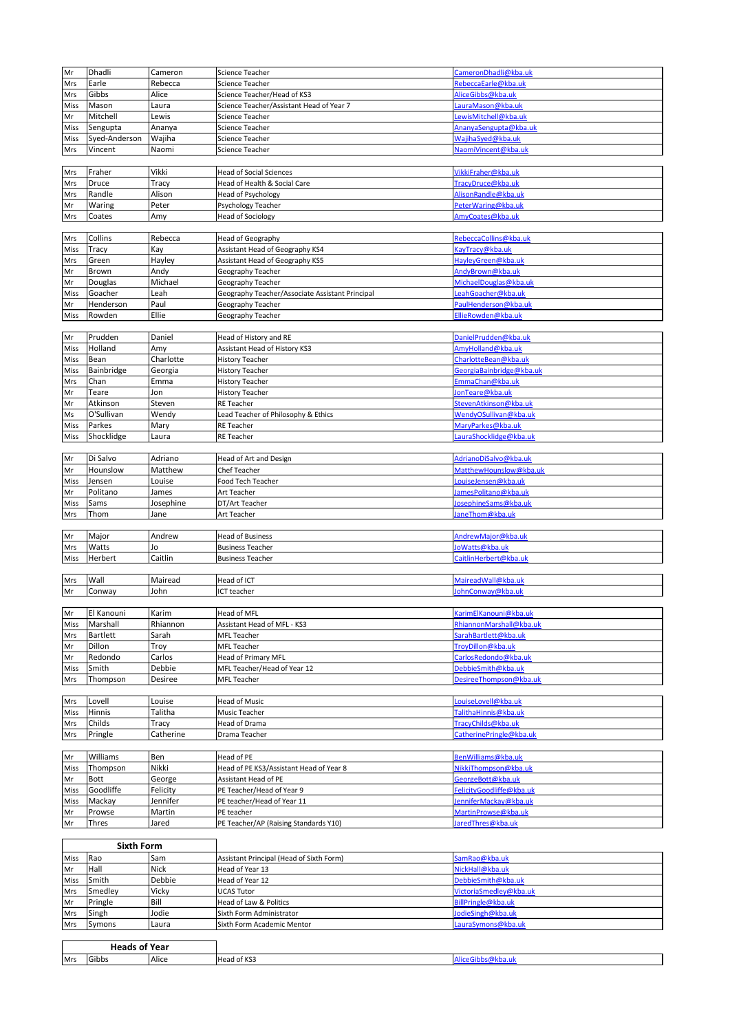| Mr        | Dhadli                        | Cameron   | Science Teacher                                    | CameronDhadli@kba.uk                    |
|-----------|-------------------------------|-----------|----------------------------------------------------|-----------------------------------------|
| Mrs       | Earle                         | Rebecca   | Science Teacher                                    | RebeccaEarle@kba.uk                     |
| Mrs       | Gibbs                         | Alice     | Science Teacher/Head of KS3                        | AliceGibbs@kba.uk                       |
| Miss      | Mason                         | Laura     | Science Teacher/Assistant Head of Year 7           | LauraMason@kba.uk                       |
| Mr        | Mitchell                      | Lewis     | Science Teacher                                    | LewisMitchell@kba.uk                    |
|           |                               | Ananya    |                                                    | AnanyaSengupta@kba.uk                   |
| Miss      | Sengupta                      |           | Science Teacher                                    |                                         |
| Miss      | Syed-Anderson                 | Wajiha    | Science Teacher                                    | Wajiha Syed@kba.uk                      |
| Mrs       | Vincent                       | Naomi     | Science Teacher                                    | NaomiVincent@kba.uk                     |
|           |                               |           |                                                    |                                         |
| Mrs       | Fraher                        | Vikki     | <b>Head of Social Sciences</b>                     | VikkiFraher@kba.uk                      |
| Mrs       | Druce                         | Tracy     | Head of Health & Social Care                       | TracyDruce@kba.uk                       |
| Mrs       | Randle                        | Alison    | Head of Psychology                                 | Alison Randle@kba.uk                    |
| Mr        | Waring                        | Peter     | Psychology Teacher                                 | PeterWaring@kba.uk                      |
| Mrs       | Coates                        | Amy       | <b>Head of Sociology</b>                           | AmyCoates@kba.uk                        |
|           |                               |           |                                                    |                                         |
| Mrs       | Collins                       | Rebecca   | <b>Head of Geography</b>                           | RebeccaCollins@kba.uk                   |
| Miss      | Tracy                         | Kay       | Assistant Head of Geography KS4                    | KayTracy@kba.uk                         |
| Mrs       | Green                         | Hayley    | Assistant Head of Geography KS5                    | HayleyGreen@kba.uk                      |
| Mr        | Brown                         | Andy      | Geography Teacher                                  | AndyBrown@kba.uk                        |
| Mr        | Douglas                       | Michael   | Geography Teacher                                  | MichaelDouglas@kba.uk                   |
| Miss      | Goacher                       | Leah      | Geography Teacher/Associate Assistant Principal    | Leah Goacher@kba.uk                     |
| Mr        | Henderson                     | Paul      | Geography Teacher                                  | PaulHenderson@kba.uk                    |
| Miss      | Rowden                        | Ellie     | Geography Teacher                                  | EllieRowden@kba.uk                      |
|           |                               |           |                                                    |                                         |
| Mr        | Prudden                       | Daniel    | Head of History and RE                             | DanielPrudden@kba.uk                    |
| Miss      | Holland                       | Amy       | Assistant Head of History KS3                      | AmyHolland@kba.uk                       |
| Miss      | Bean                          | Charlotte | <b>History Teacher</b>                             | CharlotteBean@kba.uk                    |
|           | Bainbridge                    |           |                                                    |                                         |
| Miss      |                               | Georgia   | <b>History Teacher</b>                             | GeorgiaBainbridge@kba.uk                |
| Mrs       | Chan                          | Emma      | <b>History Teacher</b>                             | EmmaChan@kba.uk                         |
| Mr        | Teare                         | Jon       | <b>History Teacher</b>                             | JonTeare@kba.uk                         |
| Mr        | Atkinson                      | Steven    | RE Teacher                                         | Steven Atkinson@kba.uk                  |
| Ms        | O'Sullivan                    | Wendy     | Lead Teacher of Philosophy & Ethics                | Wendy OSullivan@kba.uk                  |
| Miss      | Parkes                        | Mary      | RE Teacher                                         | MaryParkes@kba.uk                       |
| Miss      | Shocklidge                    | Laura     | RE Teacher                                         | LauraShocklidge@kba.uk                  |
|           |                               |           |                                                    |                                         |
| Mr        | Di Salvo                      | Adriano   | Head of Art and Design                             | AdrianoDiSalvo@kba.uk                   |
| Mr        | Hounslow                      | Matthew   | Chef Teacher                                       | MatthewHounslow@kba.uk                  |
| Miss      | Jensen                        | Louise    | Food Tech Teacher                                  | LouiseJensen@kba.uk                     |
| Mr        | Politano                      | James     | Art Teacher                                        | James Politano@kba.uk                   |
| Miss      | Sams                          | Josephine | DT/Art Teacher                                     | JosephineSams@kba.uk                    |
| Mrs       | Thom                          | Jane      | Art Teacher                                        | JaneThom@kba.uk                         |
|           |                               |           |                                                    |                                         |
| Mr        | Major                         |           | <b>Head of Business</b>                            |                                         |
|           |                               | Andrew    |                                                    | AndrewMajor@kba.uk                      |
| Mrs       | Watts                         | Jo        | <b>Business Teacher</b>                            | JoWatts@kba.uk                          |
|           | Herbert                       | Caitlin   |                                                    | CaitlinHerbert@kba.uk                   |
| Miss      |                               |           | <b>Business Teacher</b>                            |                                         |
| Mrs       | Wall                          | Mairead   |                                                    | MaireadWall@kba.uk                      |
|           |                               |           | Head of ICT                                        |                                         |
| Mr        | Conway                        | John      | ICT teacher                                        | JohnConway@kba.uk                       |
|           |                               |           |                                                    | KarimElKanouni@kba.uk                   |
| Mr        | El Kanouni                    | Karim     | Head of MFL                                        |                                         |
| Miss      | Marshall                      | Rhiannon  | Assistant Head of MFL - KS3                        | RhiannonMarshall@kba.uk                 |
| Mrs       | Bartlett                      | Sarah     | <b>MFL Teacher</b>                                 | Sarah Bartlett@kba.uk                   |
| Mr        | Dillon                        | Troy      | MFL Teacher                                        | TroyDillon@kba.uk                       |
| Mr        | Redondo                       | Carlos    | <b>Head of Primary MFL</b>                         | CarlosRedondo@kba.uk                    |
| Miss      | Smith                         | Debbie    | MFL Teacher/Head of Year 12                        | DebbieSmith@kba.uk                      |
| Mrs       | Thompson                      | Desiree   | MFL Teacher                                        | DesireeThompson@kba.uk                  |
|           |                               |           |                                                    |                                         |
| Mrs       | Lovell                        | Louise    | <b>Head of Music</b>                               | LouiseLovell@kba.uk                     |
| Miss      | Hinnis                        | Talitha   | Music Teacher                                      | Talitha Hinnis@kba.uk                   |
| Mrs       | Childs                        | Tracy     | Head of Drama                                      | TracyChilds@kba.uk                      |
| Mrs       | Pringle                       | Catherine | Drama Teacher                                      | CatherinePringle@kba.uk                 |
|           |                               |           |                                                    |                                         |
| Mr        | Williams                      | Ben       | Head of PE                                         | BenWilliams@kba.uk                      |
| Miss      | Thompson                      | Nikki     | Head of PE KS3/Assistant Head of Year 8            | NikkiThompson@kba.uk                    |
| Mr        | Bott                          | George    | Assistant Head of PE                               | GeorgeBott@kba.uk                       |
| Miss      | Goodliffe                     | Felicity  | PE Teacher/Head of Year 9                          | FelicityGoodliffe@kba.uk                |
| Miss      | Mackay                        | Jennifer  | PE teacher/Head of Year 11                         | JenniferMackay@kba.uk                   |
| Mr        | Prowse                        | Martin    | PE teacher                                         | MartinProwse@kba.uk                     |
| Mr        | Thres                         | Jared     | PE Teacher/AP (Raising Standards Y10)              | JaredThres@kba.uk                       |
|           |                               |           |                                                    |                                         |
|           | <b>Sixth Form</b>             |           |                                                    |                                         |
| Miss      | Rao                           | Sam       | Assistant Principal (Head of Sixth Form)           | SamRao@kba.uk                           |
| Mr        | Hall                          | Nick      | Head of Year 13                                    | NickHall@kba.uk                         |
| Miss      | Smith                         | Debbie    | Head of Year 12                                    | DebbieSmith@kba.uk                      |
| Mrs       | Smedley                       | Vicky     | <b>UCAS Tutor</b>                                  | VictoriaSmedley@kba.uk                  |
|           |                               | Bill      |                                                    |                                         |
| Mr<br>Mrs | Pringle                       | Jodie     | Head of Law & Politics<br>Sixth Form Administrator | BillPringle@kba.uk<br>JodieSingh@kba.uk |
| Mrs       | Singh<br>Symons               |           | Sixth Form Academic Mentor                         | LauraSymons@kba.uk                      |
|           |                               | Laura     |                                                    |                                         |
|           |                               |           |                                                    |                                         |
| Mrs       | <b>Heads of Year</b><br>Gibbs | Alice     | Head of KS3                                        | AliceGibbs@kba.uk                       |